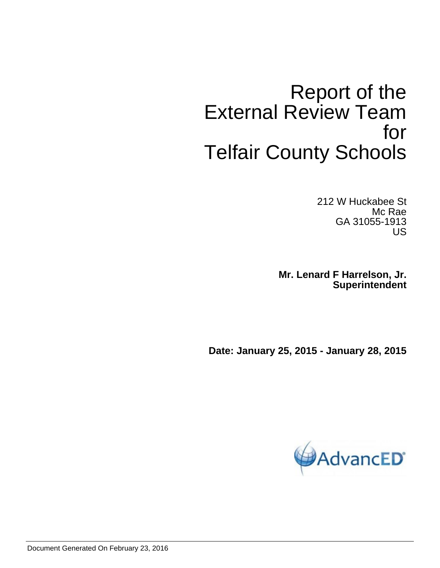# Report of the External Review Team for Telfair County Schools

212 W Huckabee St Mc Rae GA 31055-1913 US

**Mr. Lenard F Harrelson, Jr. Superintendent**

**Date: January 25, 2015 - January 28, 2015**

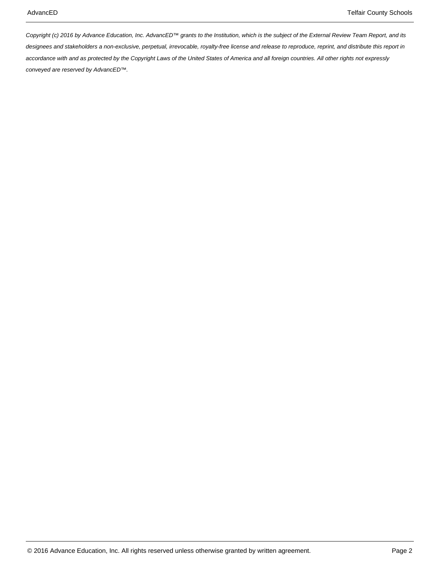Copyright (c) 2016 by Advance Education, Inc. AdvancED™ grants to the Institution, which is the subject of the External Review Team Report, and its designees and stakeholders a non-exclusive, perpetual, irrevocable, royalty-free license and release to reproduce, reprint, and distribute this report in accordance with and as protected by the Copyright Laws of the United States of America and all foreign countries. All other rights not expressly conveyed are reserved by AdvancED™.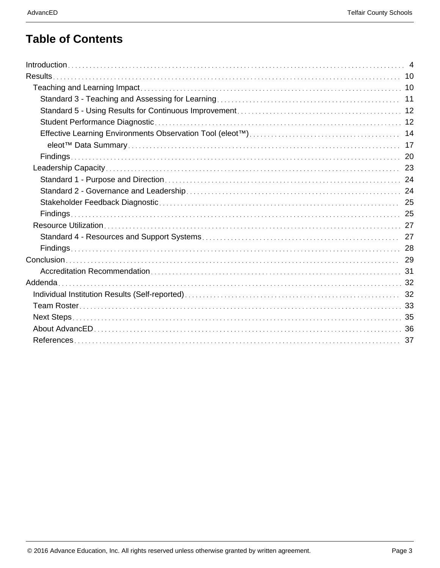## **Table of Contents**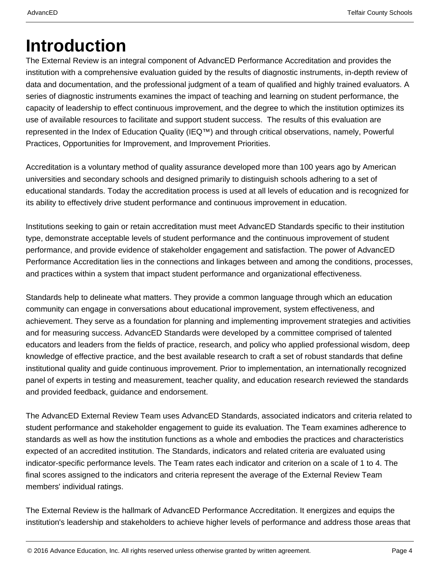# **Introduction**

The External Review is an integral component of AdvancED Performance Accreditation and provides the institution with a comprehensive evaluation guided by the results of diagnostic instruments, in-depth review of data and documentation, and the professional judgment of a team of qualified and highly trained evaluators. A series of diagnostic instruments examines the impact of teaching and learning on student performance, the capacity of leadership to effect continuous improvement, and the degree to which the institution optimizes its use of available resources to facilitate and support student success. The results of this evaluation are represented in the Index of Education Quality (IEQ™) and through critical observations, namely, Powerful Practices, Opportunities for Improvement, and Improvement Priorities.

Accreditation is a voluntary method of quality assurance developed more than 100 years ago by American universities and secondary schools and designed primarily to distinguish schools adhering to a set of educational standards. Today the accreditation process is used at all levels of education and is recognized for its ability to effectively drive student performance and continuous improvement in education.

Institutions seeking to gain or retain accreditation must meet AdvancED Standards specific to their institution type, demonstrate acceptable levels of student performance and the continuous improvement of student performance, and provide evidence of stakeholder engagement and satisfaction. The power of AdvancED Performance Accreditation lies in the connections and linkages between and among the conditions, processes, and practices within a system that impact student performance and organizational effectiveness.

Standards help to delineate what matters. They provide a common language through which an education community can engage in conversations about educational improvement, system effectiveness, and achievement. They serve as a foundation for planning and implementing improvement strategies and activities and for measuring success. AdvancED Standards were developed by a committee comprised of talented educators and leaders from the fields of practice, research, and policy who applied professional wisdom, deep knowledge of effective practice, and the best available research to craft a set of robust standards that define institutional quality and guide continuous improvement. Prior to implementation, an internationally recognized panel of experts in testing and measurement, teacher quality, and education research reviewed the standards and provided feedback, guidance and endorsement.

The AdvancED External Review Team uses AdvancED Standards, associated indicators and criteria related to student performance and stakeholder engagement to guide its evaluation. The Team examines adherence to standards as well as how the institution functions as a whole and embodies the practices and characteristics expected of an accredited institution. The Standards, indicators and related criteria are evaluated using indicator-specific performance levels. The Team rates each indicator and criterion on a scale of 1 to 4. The final scores assigned to the indicators and criteria represent the average of the External Review Team members' individual ratings.

The External Review is the hallmark of AdvancED Performance Accreditation. It energizes and equips the institution's leadership and stakeholders to achieve higher levels of performance and address those areas that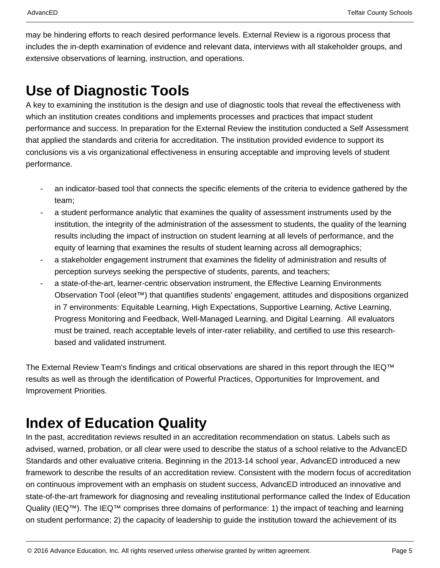may be hindering efforts to reach desired performance levels. External Review is a rigorous process that includes the in-depth examination of evidence and relevant data, interviews with all stakeholder groups, and extensive observations of learning, instruction, and operations.

## **Use of Diagnostic Tools**

A key to examining the institution is the design and use of diagnostic tools that reveal the effectiveness with which an institution creates conditions and implements processes and practices that impact student performance and success. In preparation for the External Review the institution conducted a Self Assessment that applied the standards and criteria for accreditation. The institution provided evidence to support its conclusions vis a vis organizational effectiveness in ensuring acceptable and improving levels of student performance.

- an indicator-based tool that connects the specific elements of the criteria to evidence gathered by the team;
- a student performance analytic that examines the quality of assessment instruments used by the institution, the integrity of the administration of the assessment to students, the quality of the learning results including the impact of instruction on student learning at all levels of performance, and the equity of learning that examines the results of student learning across all demographics;
- a stakeholder engagement instrument that examines the fidelity of administration and results of perception surveys seeking the perspective of students, parents, and teachers;
- a state-of-the-art, learner-centric observation instrument, the Effective Learning Environments Observation Tool (eleot™) that quantifies students' engagement, attitudes and dispositions organized in 7 environments: Equitable Learning, High Expectations, Supportive Learning, Active Learning, Progress Monitoring and Feedback, Well-Managed Learning, and Digital Learning. All evaluators must be trained, reach acceptable levels of inter-rater reliability, and certified to use this researchbased and validated instrument.

The External Review Team's findings and critical observations are shared in this report through the IEQ™ results as well as through the identification of Powerful Practices, Opportunities for Improvement, and Improvement Priorities.

## **Index of Education Quality**

In the past, accreditation reviews resulted in an accreditation recommendation on status. Labels such as advised, warned, probation, or all clear were used to describe the status of a school relative to the AdvancED Standards and other evaluative criteria. Beginning in the 2013-14 school year, AdvancED introduced a new framework to describe the results of an accreditation review. Consistent with the modern focus of accreditation on continuous improvement with an emphasis on student success, AdvancED introduced an innovative and state-of-the-art framework for diagnosing and revealing institutional performance called the Index of Education Quality (IEQ™). The IEQ™ comprises three domains of performance: 1) the impact of teaching and learning on student performance; 2) the capacity of leadership to guide the institution toward the achievement of its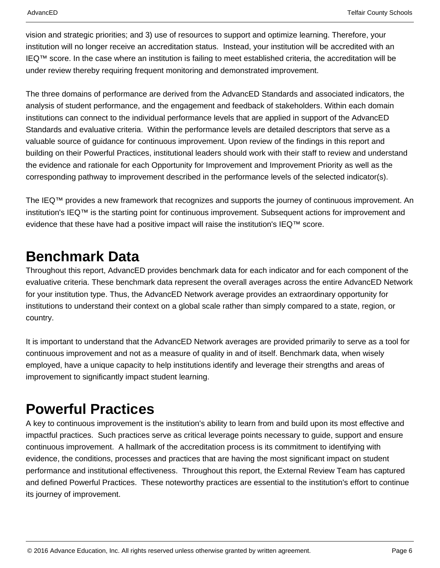vision and strategic priorities; and 3) use of resources to support and optimize learning. Therefore, your institution will no longer receive an accreditation status. Instead, your institution will be accredited with an IEQ™ score. In the case where an institution is failing to meet established criteria, the accreditation will be under review thereby requiring frequent monitoring and demonstrated improvement.

The three domains of performance are derived from the AdvancED Standards and associated indicators, the analysis of student performance, and the engagement and feedback of stakeholders. Within each domain institutions can connect to the individual performance levels that are applied in support of the AdvancED Standards and evaluative criteria. Within the performance levels are detailed descriptors that serve as a valuable source of guidance for continuous improvement. Upon review of the findings in this report and building on their Powerful Practices, institutional leaders should work with their staff to review and understand the evidence and rationale for each Opportunity for Improvement and Improvement Priority as well as the corresponding pathway to improvement described in the performance levels of the selected indicator(s).

The IEQ™ provides a new framework that recognizes and supports the journey of continuous improvement. An institution's IEQ™ is the starting point for continuous improvement. Subsequent actions for improvement and evidence that these have had a positive impact will raise the institution's IEQ™ score.

## **Benchmark Data**

Throughout this report, AdvancED provides benchmark data for each indicator and for each component of the evaluative criteria. These benchmark data represent the overall averages across the entire AdvancED Network for your institution type. Thus, the AdvancED Network average provides an extraordinary opportunity for institutions to understand their context on a global scale rather than simply compared to a state, region, or country.

It is important to understand that the AdvancED Network averages are provided primarily to serve as a tool for continuous improvement and not as a measure of quality in and of itself. Benchmark data, when wisely employed, have a unique capacity to help institutions identify and leverage their strengths and areas of improvement to significantly impact student learning.

## **Powerful Practices**

A key to continuous improvement is the institution's ability to learn from and build upon its most effective and impactful practices. Such practices serve as critical leverage points necessary to guide, support and ensure continuous improvement. A hallmark of the accreditation process is its commitment to identifying with evidence, the conditions, processes and practices that are having the most significant impact on student performance and institutional effectiveness. Throughout this report, the External Review Team has captured and defined Powerful Practices. These noteworthy practices are essential to the institution's effort to continue its journey of improvement.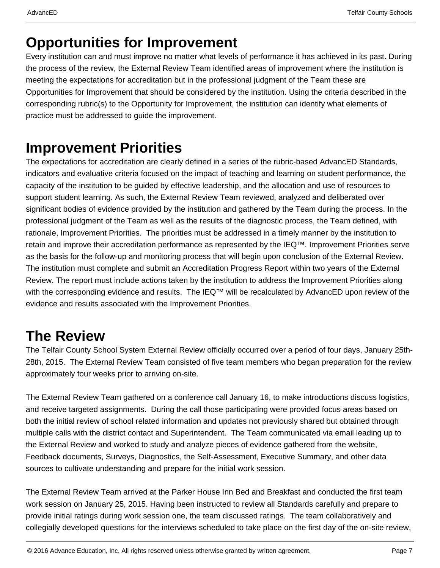## **Opportunities for Improvement**

Every institution can and must improve no matter what levels of performance it has achieved in its past. During the process of the review, the External Review Team identified areas of improvement where the institution is meeting the expectations for accreditation but in the professional judgment of the Team these are Opportunities for Improvement that should be considered by the institution. Using the criteria described in the corresponding rubric(s) to the Opportunity for Improvement, the institution can identify what elements of practice must be addressed to guide the improvement.

## **Improvement Priorities**

The expectations for accreditation are clearly defined in a series of the rubric-based AdvancED Standards, indicators and evaluative criteria focused on the impact of teaching and learning on student performance, the capacity of the institution to be guided by effective leadership, and the allocation and use of resources to support student learning. As such, the External Review Team reviewed, analyzed and deliberated over significant bodies of evidence provided by the institution and gathered by the Team during the process. In the professional judgment of the Team as well as the results of the diagnostic process, the Team defined, with rationale, Improvement Priorities. The priorities must be addressed in a timely manner by the institution to retain and improve their accreditation performance as represented by the IEQ™. Improvement Priorities serve as the basis for the follow-up and monitoring process that will begin upon conclusion of the External Review. The institution must complete and submit an Accreditation Progress Report within two years of the External Review. The report must include actions taken by the institution to address the Improvement Priorities along with the corresponding evidence and results. The IEQ™ will be recalculated by AdvancED upon review of the evidence and results associated with the Improvement Priorities.

## **The Review**

The Telfair County School System External Review officially occurred over a period of four days, January 25th-28th, 2015. The External Review Team consisted of five team members who began preparation for the review approximately four weeks prior to arriving on-site.

The External Review Team gathered on a conference call January 16, to make introductions discuss logistics, and receive targeted assignments. During the call those participating were provided focus areas based on both the initial review of school related information and updates not previously shared but obtained through multiple calls with the district contact and Superintendent. The Team communicated via email leading up to the External Review and worked to study and analyze pieces of evidence gathered from the website, Feedback documents, Surveys, Diagnostics, the Self-Assessment, Executive Summary, and other data sources to cultivate understanding and prepare for the initial work session.

The External Review Team arrived at the Parker House Inn Bed and Breakfast and conducted the first team work session on January 25, 2015. Having been instructed to review all Standards carefully and prepare to provide initial ratings during work session one, the team discussed ratings. The team collaboratively and collegially developed questions for the interviews scheduled to take place on the first day of the on-site review,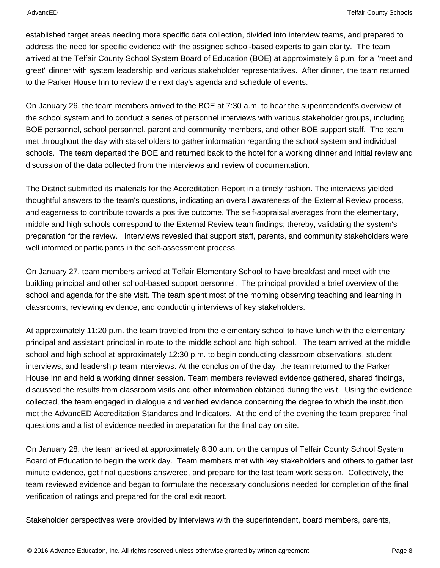established target areas needing more specific data collection, divided into interview teams, and prepared to address the need for specific evidence with the assigned school-based experts to gain clarity. The team arrived at the Telfair County School System Board of Education (BOE) at approximately 6 p.m. for a "meet and greet" dinner with system leadership and various stakeholder representatives. After dinner, the team returned to the Parker House Inn to review the next day's agenda and schedule of events.

On January 26, the team members arrived to the BOE at 7:30 a.m. to hear the superintendent's overview of the school system and to conduct a series of personnel interviews with various stakeholder groups, including BOE personnel, school personnel, parent and community members, and other BOE support staff. The team met throughout the day with stakeholders to gather information regarding the school system and individual schools. The team departed the BOE and returned back to the hotel for a working dinner and initial review and discussion of the data collected from the interviews and review of documentation.

The District submitted its materials for the Accreditation Report in a timely fashion. The interviews yielded thoughtful answers to the team's questions, indicating an overall awareness of the External Review process, and eagerness to contribute towards a positive outcome. The self-appraisal averages from the elementary, middle and high schools correspond to the External Review team findings; thereby, validating the system's preparation for the review. Interviews revealed that support staff, parents, and community stakeholders were well informed or participants in the self-assessment process.

On January 27, team members arrived at Telfair Elementary School to have breakfast and meet with the building principal and other school-based support personnel. The principal provided a brief overview of the school and agenda for the site visit. The team spent most of the morning observing teaching and learning in classrooms, reviewing evidence, and conducting interviews of key stakeholders.

At approximately 11:20 p.m. the team traveled from the elementary school to have lunch with the elementary principal and assistant principal in route to the middle school and high school. The team arrived at the middle school and high school at approximately 12:30 p.m. to begin conducting classroom observations, student interviews, and leadership team interviews. At the conclusion of the day, the team returned to the Parker House Inn and held a working dinner session. Team members reviewed evidence gathered, shared findings, discussed the results from classroom visits and other information obtained during the visit. Using the evidence collected, the team engaged in dialogue and verified evidence concerning the degree to which the institution met the AdvancED Accreditation Standards and Indicators. At the end of the evening the team prepared final questions and a list of evidence needed in preparation for the final day on site.

On January 28, the team arrived at approximately 8:30 a.m. on the campus of Telfair County School System Board of Education to begin the work day. Team members met with key stakeholders and others to gather last minute evidence, get final questions answered, and prepare for the last team work session. Collectively, the team reviewed evidence and began to formulate the necessary conclusions needed for completion of the final verification of ratings and prepared for the oral exit report.

Stakeholder perspectives were provided by interviews with the superintendent, board members, parents,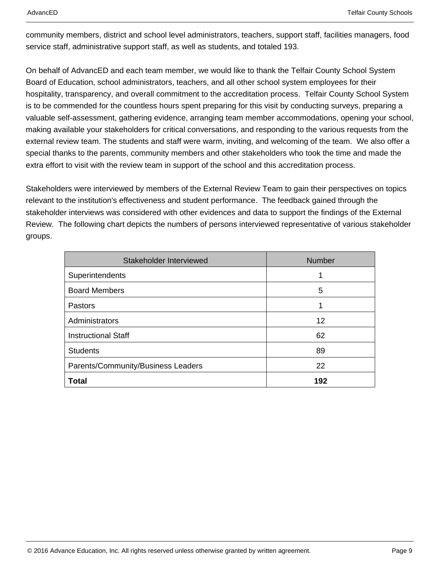community members, district and school level administrators, teachers, support staff, facilities managers, food service staff, administrative support staff, as well as students, and totaled 193.

On behalf of AdvancED and each team member, we would like to thank the Telfair County School System Board of Education, school administrators, teachers, and all other school system employees for their hospitality, transparency, and overall commitment to the accreditation process. Telfair County School System is to be commended for the countless hours spent preparing for this visit by conducting surveys, preparing a valuable self-assessment, gathering evidence, arranging team member accommodations, opening your school, making available your stakeholders for critical conversations, and responding to the various requests from the external review team. The students and staff were warm, inviting, and welcoming of the team. We also offer a special thanks to the parents, community members and other stakeholders who took the time and made the extra effort to visit with the review team in support of the school and this accreditation process.

Stakeholders were interviewed by members of the External Review Team to gain their perspectives on topics relevant to the institution's effectiveness and student performance. The feedback gained through the stakeholder interviews was considered with other evidences and data to support the findings of the External Review. The following chart depicts the numbers of persons interviewed representative of various stakeholder groups.

| Stakeholder Interviewed            | <b>Number</b> |
|------------------------------------|---------------|
| Superintendents                    | 1             |
| <b>Board Members</b>               | 5             |
| Pastors                            | 1             |
| Administrators                     | 12            |
| <b>Instructional Staff</b>         | 62            |
| <b>Students</b>                    | 89            |
| Parents/Community/Business Leaders | 22            |
| Total                              | 192           |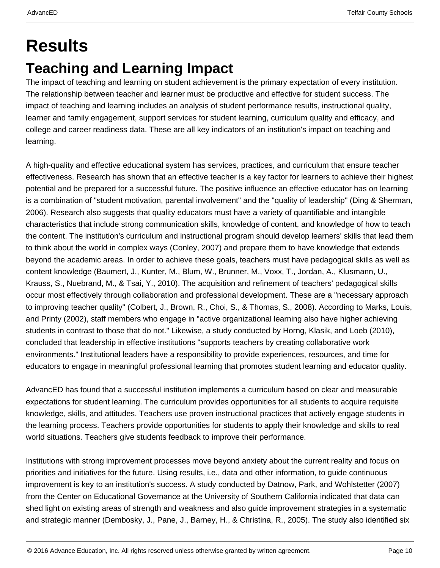# **Results Teaching and Learning Impact**

The impact of teaching and learning on student achievement is the primary expectation of every institution. The relationship between teacher and learner must be productive and effective for student success. The impact of teaching and learning includes an analysis of student performance results, instructional quality, learner and family engagement, support services for student learning, curriculum quality and efficacy, and college and career readiness data. These are all key indicators of an institution's impact on teaching and learning.

A high-quality and effective educational system has services, practices, and curriculum that ensure teacher effectiveness. Research has shown that an effective teacher is a key factor for learners to achieve their highest potential and be prepared for a successful future. The positive influence an effective educator has on learning is a combination of "student motivation, parental involvement" and the "quality of leadership" (Ding & Sherman, 2006). Research also suggests that quality educators must have a variety of quantifiable and intangible characteristics that include strong communication skills, knowledge of content, and knowledge of how to teach the content. The institution's curriculum and instructional program should develop learners' skills that lead them to think about the world in complex ways (Conley, 2007) and prepare them to have knowledge that extends beyond the academic areas. In order to achieve these goals, teachers must have pedagogical skills as well as content knowledge (Baumert, J., Kunter, M., Blum, W., Brunner, M., Voxx, T., Jordan, A., Klusmann, U., Krauss, S., Nuebrand, M., & Tsai, Y., 2010). The acquisition and refinement of teachers' pedagogical skills occur most effectively through collaboration and professional development. These are a "necessary approach to improving teacher quality" (Colbert, J., Brown, R., Choi, S., & Thomas, S., 2008). According to Marks, Louis, and Printy (2002), staff members who engage in "active organizational learning also have higher achieving students in contrast to those that do not." Likewise, a study conducted by Horng, Klasik, and Loeb (2010), concluded that leadership in effective institutions "supports teachers by creating collaborative work environments." Institutional leaders have a responsibility to provide experiences, resources, and time for educators to engage in meaningful professional learning that promotes student learning and educator quality.

AdvancED has found that a successful institution implements a curriculum based on clear and measurable expectations for student learning. The curriculum provides opportunities for all students to acquire requisite knowledge, skills, and attitudes. Teachers use proven instructional practices that actively engage students in the learning process. Teachers provide opportunities for students to apply their knowledge and skills to real world situations. Teachers give students feedback to improve their performance.

Institutions with strong improvement processes move beyond anxiety about the current reality and focus on priorities and initiatives for the future. Using results, i.e., data and other information, to guide continuous improvement is key to an institution's success. A study conducted by Datnow, Park, and Wohlstetter (2007) from the Center on Educational Governance at the University of Southern California indicated that data can shed light on existing areas of strength and weakness and also guide improvement strategies in a systematic and strategic manner (Dembosky, J., Pane, J., Barney, H., & Christina, R., 2005). The study also identified six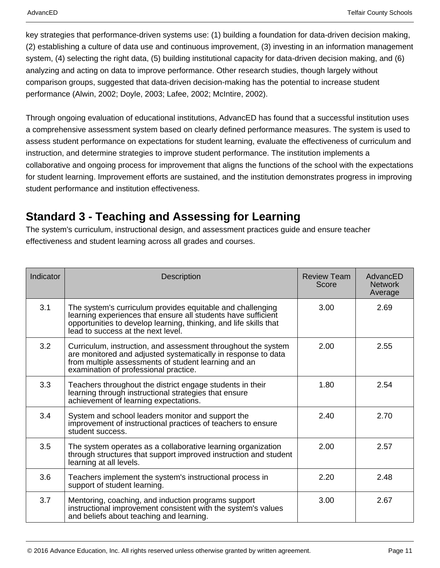key strategies that performance-driven systems use: (1) building a foundation for data-driven decision making, (2) establishing a culture of data use and continuous improvement, (3) investing in an information management system, (4) selecting the right data, (5) building institutional capacity for data-driven decision making, and (6) analyzing and acting on data to improve performance. Other research studies, though largely without comparison groups, suggested that data-driven decision-making has the potential to increase student performance (Alwin, 2002; Doyle, 2003; Lafee, 2002; McIntire, 2002).

Through ongoing evaluation of educational institutions, AdvancED has found that a successful institution uses a comprehensive assessment system based on clearly defined performance measures. The system is used to assess student performance on expectations for student learning, evaluate the effectiveness of curriculum and instruction, and determine strategies to improve student performance. The institution implements a collaborative and ongoing process for improvement that aligns the functions of the school with the expectations for student learning. Improvement efforts are sustained, and the institution demonstrates progress in improving student performance and institution effectiveness.

### **Standard 3 - Teaching and Assessing for Learning**

The system's curriculum, instructional design, and assessment practices guide and ensure teacher effectiveness and student learning across all grades and courses.

| Indicator | <b>Description</b>                                                                                                                                                                                                                     | <b>Review Team</b><br>Score | AdvancED<br><b>Network</b><br>Average |
|-----------|----------------------------------------------------------------------------------------------------------------------------------------------------------------------------------------------------------------------------------------|-----------------------------|---------------------------------------|
| 3.1       | The system's curriculum provides equitable and challenging<br>learning experiences that ensure all students have sufficient<br>opportunities to develop learning, thinking, and life skills that<br>lead to success at the next level. | 3.00                        | 2.69                                  |
| 3.2       | Curriculum, instruction, and assessment throughout the system<br>are monitored and adjusted systematically in response to data<br>from multiple assessments of student learning and an<br>examination of professional practice.        | 2.00                        | 2.55                                  |
| 3.3       | Teachers throughout the district engage students in their<br>learning through instructional strategies that ensure<br>achievement of learning expectations.                                                                            | 1.80                        | 2.54                                  |
| 3.4       | System and school leaders monitor and support the<br>improvement of instructional practices of teachers to ensure<br>student success.                                                                                                  | 2.40                        | 2.70                                  |
| 3.5       | The system operates as a collaborative learning organization<br>through structures that support improved instruction and student<br>learning at all levels.                                                                            | 2.00                        | 2.57                                  |
| 3.6       | Teachers implement the system's instructional process in<br>support of student learning.                                                                                                                                               | 2.20                        | 2.48                                  |
| 3.7       | Mentoring, coaching, and induction programs support<br>instructional improvement consistent with the system's values<br>and beliefs about teaching and learning.                                                                       | 3.00                        | 2.67                                  |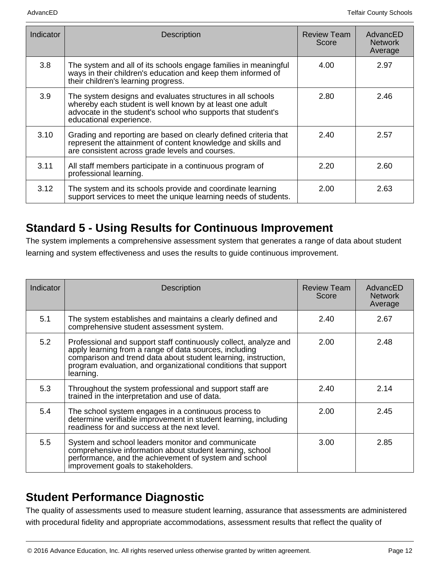| Indicator | <b>Description</b>                                                                                                                                                                                                | <b>Review Team</b><br>Score | AdvancED<br><b>Network</b><br>Average |
|-----------|-------------------------------------------------------------------------------------------------------------------------------------------------------------------------------------------------------------------|-----------------------------|---------------------------------------|
| 3.8       | The system and all of its schools engage families in meaningful<br>ways in their children's education and keep them informed of<br>their children's learning progress.                                            | 4.00                        | 2.97                                  |
| 3.9       | The system designs and evaluates structures in all schools<br>whereby each student is well known by at least one adult<br>advocate in the student's school who supports that student's<br>educational experience. | 2.80                        | 2.46                                  |
| 3.10      | Grading and reporting are based on clearly defined criteria that<br>represent the attainment of content knowledge and skills and<br>are consistent across grade levels and courses.                               | 2.40                        | 2.57                                  |
| 3.11      | All staff members participate in a continuous program of<br>professional learning.                                                                                                                                | 2.20                        | 2.60                                  |
| 3.12      | The system and its schools provide and coordinate learning<br>support services to meet the unique learning needs of students.                                                                                     | 2.00                        | 2.63                                  |

### **Standard 5 - Using Results for Continuous Improvement**

The system implements a comprehensive assessment system that generates a range of data about student learning and system effectiveness and uses the results to guide continuous improvement.

| Indicator | <b>Description</b>                                                                                                                                                                                                                                                          | <b>Review Team</b><br>Score | AdvancED<br><b>Network</b><br>Average |
|-----------|-----------------------------------------------------------------------------------------------------------------------------------------------------------------------------------------------------------------------------------------------------------------------------|-----------------------------|---------------------------------------|
| 5.1       | The system establishes and maintains a clearly defined and<br>comprehensive student assessment system.                                                                                                                                                                      | 2.40                        | 2.67                                  |
| 5.2       | Professional and support staff continuously collect, analyze and<br>apply learning from a range of data sources, including<br>comparison and trend data about student learning, instruction,<br>program evaluation, and organizational conditions that support<br>learning. | 2.00                        | 2.48                                  |
| 5.3       | Throughout the system professional and support staff are<br>trained in the interpretation and use of data.                                                                                                                                                                  | 2.40                        | 2.14                                  |
| 5.4       | The school system engages in a continuous process to<br>determine verifiable improvement in student learning, including<br>readiness for and success at the next level.                                                                                                     | 2.00                        | 2.45                                  |
| 5.5       | System and school leaders monitor and communicate<br>comprehensive information about student learning, school<br>performance, and the achievement of system and school<br>improvement goals to stakeholders.                                                                | 3.00                        | 2.85                                  |

### **Student Performance Diagnostic**

The quality of assessments used to measure student learning, assurance that assessments are administered with procedural fidelity and appropriate accommodations, assessment results that reflect the quality of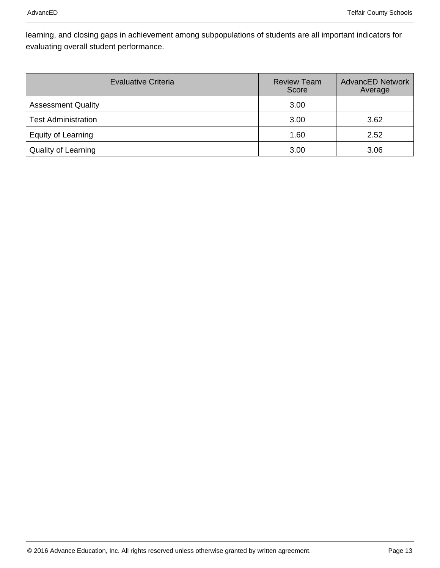learning, and closing gaps in achievement among subpopulations of students are all important indicators for evaluating overall student performance.

| Evaluative Criteria        | <b>Review Team</b><br>Score | <b>AdvancED Network</b><br>Average |
|----------------------------|-----------------------------|------------------------------------|
| <b>Assessment Quality</b>  | 3.00                        |                                    |
| <b>Test Administration</b> | 3.00                        | 3.62                               |
| Equity of Learning         | 1.60                        | 2.52                               |
| <b>Quality of Learning</b> | 3.00                        | 3.06                               |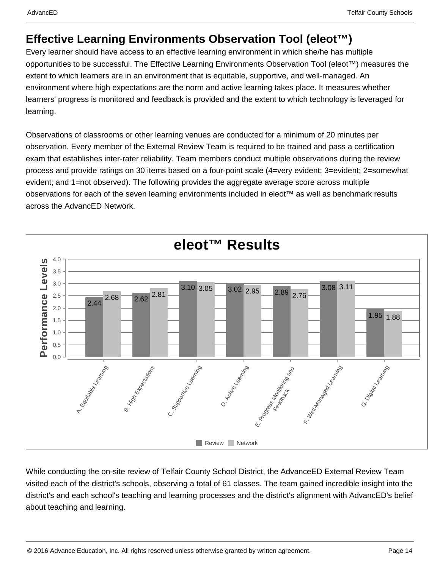### **Effective Learning Environments Observation Tool (eleot™)**

Every learner should have access to an effective learning environment in which she/he has multiple opportunities to be successful. The Effective Learning Environments Observation Tool (eleot™) measures the extent to which learners are in an environment that is equitable, supportive, and well-managed. An environment where high expectations are the norm and active learning takes place. It measures whether learners' progress is monitored and feedback is provided and the extent to which technology is leveraged for learning.

Observations of classrooms or other learning venues are conducted for a minimum of 20 minutes per observation. Every member of the External Review Team is required to be trained and pass a certification exam that establishes inter-rater reliability. Team members conduct multiple observations during the review process and provide ratings on 30 items based on a four-point scale (4=very evident; 3=evident; 2=somewhat evident; and 1=not observed). The following provides the aggregate average score across multiple observations for each of the seven learning environments included in eleot™ as well as benchmark results across the AdvancED Network.



While conducting the on-site review of Telfair County School District, the AdvanceED External Review Team visited each of the district's schools, observing a total of 61 classes. The team gained incredible insight into the district's and each school's teaching and learning processes and the district's alignment with AdvancED's belief about teaching and learning.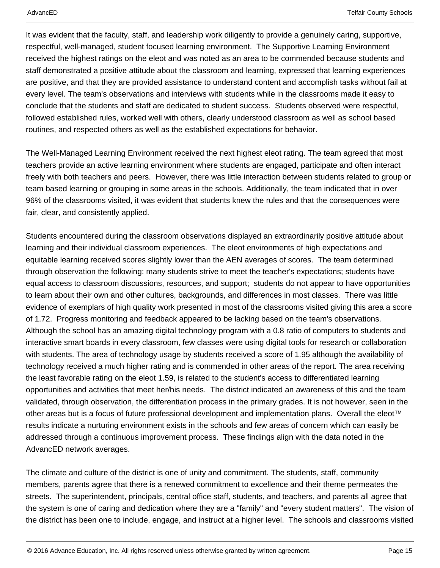It was evident that the faculty, staff, and leadership work diligently to provide a genuinely caring, supportive, respectful, well-managed, student focused learning environment. The Supportive Learning Environment received the highest ratings on the eleot and was noted as an area to be commended because students and staff demonstrated a positive attitude about the classroom and learning, expressed that learning experiences are positive, and that they are provided assistance to understand content and accomplish tasks without fail at every level. The team's observations and interviews with students while in the classrooms made it easy to conclude that the students and staff are dedicated to student success. Students observed were respectful, followed established rules, worked well with others, clearly understood classroom as well as school based routines, and respected others as well as the established expectations for behavior.

The Well-Managed Learning Environment received the next highest eleot rating. The team agreed that most teachers provide an active learning environment where students are engaged, participate and often interact freely with both teachers and peers. However, there was little interaction between students related to group or team based learning or grouping in some areas in the schools. Additionally, the team indicated that in over 96% of the classrooms visited, it was evident that students knew the rules and that the consequences were fair, clear, and consistently applied.

Students encountered during the classroom observations displayed an extraordinarily positive attitude about learning and their individual classroom experiences. The eleot environments of high expectations and equitable learning received scores slightly lower than the AEN averages of scores. The team determined through observation the following: many students strive to meet the teacher's expectations; students have equal access to classroom discussions, resources, and support; students do not appear to have opportunities to learn about their own and other cultures, backgrounds, and differences in most classes. There was little evidence of exemplars of high quality work presented in most of the classrooms visited giving this area a score of 1.72. Progress monitoring and feedback appeared to be lacking based on the team's observations. Although the school has an amazing digital technology program with a 0.8 ratio of computers to students and interactive smart boards in every classroom, few classes were using digital tools for research or collaboration with students. The area of technology usage by students received a score of 1.95 although the availability of technology received a much higher rating and is commended in other areas of the report. The area receiving the least favorable rating on the eleot 1.59, is related to the student's access to differentiated learning opportunities and activities that meet her/his needs. The district indicated an awareness of this and the team validated, through observation, the differentiation process in the primary grades. It is not however, seen in the other areas but is a focus of future professional development and implementation plans. Overall the eleot™ results indicate a nurturing environment exists in the schools and few areas of concern which can easily be addressed through a continuous improvement process. These findings align with the data noted in the AdvancED network averages.

The climate and culture of the district is one of unity and commitment. The students, staff, community members, parents agree that there is a renewed commitment to excellence and their theme permeates the streets. The superintendent, principals, central office staff, students, and teachers, and parents all agree that the system is one of caring and dedication where they are a "family" and "every student matters". The vision of the district has been one to include, engage, and instruct at a higher level. The schools and classrooms visited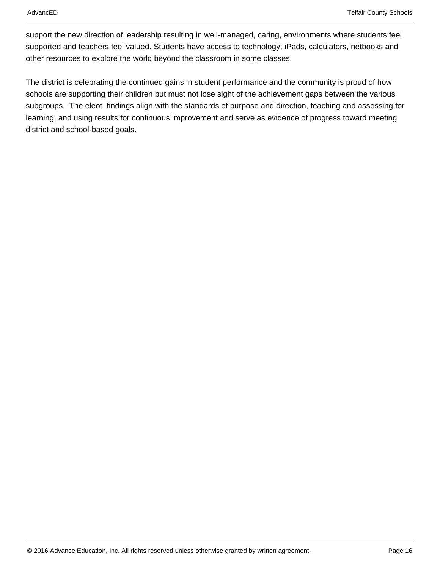support the new direction of leadership resulting in well-managed, caring, environments where students feel supported and teachers feel valued. Students have access to technology, iPads, calculators, netbooks and other resources to explore the world beyond the classroom in some classes.

The district is celebrating the continued gains in student performance and the community is proud of how schools are supporting their children but must not lose sight of the achievement gaps between the various subgroups. The eleot findings align with the standards of purpose and direction, teaching and assessing for learning, and using results for continuous improvement and serve as evidence of progress toward meeting district and school-based goals.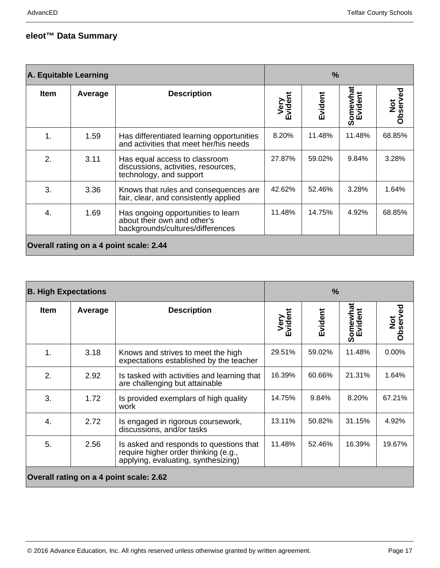### **eleot™ Data Summary**

| A. Equitable Learning                   |         | $\frac{9}{6}$                                                                                         |                     |         |                     |                 |
|-----------------------------------------|---------|-------------------------------------------------------------------------------------------------------|---------------------|---------|---------------------|-----------------|
| <b>Item</b>                             | Average | <b>Description</b>                                                                                    | Very<br>vident<br>ш | Evident | Somewhat<br>Evident | Not<br>Observed |
| $\mathbf 1$                             | 1.59    | Has differentiated learning opportunities<br>and activities that meet her/his needs                   | 8.20%               | 11.48%  | 11.48%              | 68.85%          |
| 2.                                      | 3.11    | Has equal access to classroom<br>discussions, activities, resources,<br>technology, and support       | 27.87%              | 59.02%  | 9.84%               | 3.28%           |
| 3.                                      | 3.36    | Knows that rules and consequences are.<br>fair, clear, and consistently applied                       | 42.62%              | 52.46%  | 3.28%               | 1.64%           |
| 4.                                      | 1.69    | Has ongoing opportunities to learn<br>about their own and other's<br>backgrounds/cultures/differences | 11.48%              | 14.75%  | 4.92%               | 68.85%          |
| Overall rating on a 4 point scale: 2.44 |         |                                                                                                       |                     |         |                     |                 |

| <b>B. High Expectations</b>             |         | $\frac{9}{6}$                                                                                                          |                 |         |          |                 |
|-----------------------------------------|---------|------------------------------------------------------------------------------------------------------------------------|-----------------|---------|----------|-----------------|
| <b>Item</b>                             | Average | <b>Description</b>                                                                                                     | Very<br>Evident | Evident | Somewhat | Not<br>Observed |
| 1.                                      | 3.18    | Knows and strives to meet the high<br>expectations established by the teacher                                          | 29.51%          | 59.02%  | 11.48%   | $0.00\%$        |
| 2.                                      | 2.92    | Is tasked with activities and learning that<br>are challenging but attainable                                          | 16.39%          | 60.66%  | 21.31%   | 1.64%           |
| 3.                                      | 1.72    | Is provided exemplars of high quality<br>work                                                                          | 14.75%          | 9.84%   | 8.20%    | 67.21%          |
| 4.                                      | 2.72    | Is engaged in rigorous coursework,<br>discussions, and/or tasks                                                        | 13.11%          | 50.82%  | 31.15%   | 4.92%           |
| 5.                                      | 2.56    | Is asked and responds to questions that<br>require higher order thinking (e.g.,<br>applying, evaluating, synthesizing) | 11.48%          | 52.46%  | 16.39%   | 19.67%          |
| Overall rating on a 4 point scale: 2.62 |         |                                                                                                                        |                 |         |          |                 |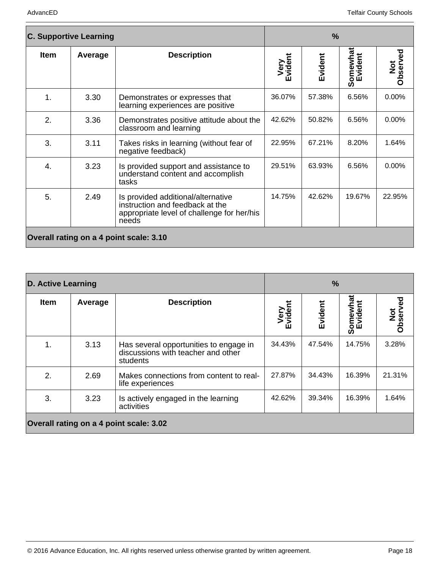| <b>C. Supportive Learning</b>           |         | $\frac{9}{6}$                                                                                                                |                 |         |          |                 |
|-----------------------------------------|---------|------------------------------------------------------------------------------------------------------------------------------|-----------------|---------|----------|-----------------|
| <b>Item</b>                             | Average | <b>Description</b>                                                                                                           | Very<br>Evident | Evident | Somewhat | Not<br>Observed |
| $\mathbf 1$ .                           | 3.30    | Demonstrates or expresses that<br>learning experiences are positive                                                          | 36.07%          | 57.38%  | 6.56%    | 0.00%           |
| 2.                                      | 3.36    | Demonstrates positive attitude about the<br>classroom and learning                                                           | 42.62%          | 50.82%  | 6.56%    | $0.00\%$        |
| 3.                                      | 3.11    | Takes risks in learning (without fear of<br>negative feedback)                                                               | 22.95%          | 67.21%  | 8.20%    | 1.64%           |
| 4.                                      | 3.23    | Is provided support and assistance to<br>understand content and accomplish<br>tasks                                          | 29.51%          | 63.93%  | 6.56%    | $0.00\%$        |
| 5.                                      | 2.49    | Is provided additional/alternative<br>instruction and feedback at the<br>appropriate level of challenge for her/his<br>needs | 14.75%          | 42.62%  | 19.67%   | 22.95%          |
| Overall rating on a 4 point scale: 3.10 |         |                                                                                                                              |                 |         |          |                 |

|                                         | <b>D. Active Learning</b> |                                                                                          | $\frac{9}{6}$       |         |                     |                 |
|-----------------------------------------|---------------------------|------------------------------------------------------------------------------------------|---------------------|---------|---------------------|-----------------|
| <b>Item</b>                             | Average                   | <b>Description</b>                                                                       | Very<br>vident<br>Ŵ | Evident | Somewhat<br>Evident | Not<br>Observed |
| 1.                                      | 3.13                      | Has several opportunities to engage in<br>discussions with teacher and other<br>students | 34.43%              | 47.54%  | 14.75%              | 3.28%           |
| 2.                                      | 2.69                      | Makes connections from content to real-<br>life experiences                              | 27.87%              | 34.43%  | 16.39%              | 21.31%          |
| 3.                                      | 3.23                      | Is actively engaged in the learning<br>activities                                        | 42.62%              | 39.34%  | 16.39%              | 1.64%           |
| Overall rating on a 4 point scale: 3.02 |                           |                                                                                          |                     |         |                     |                 |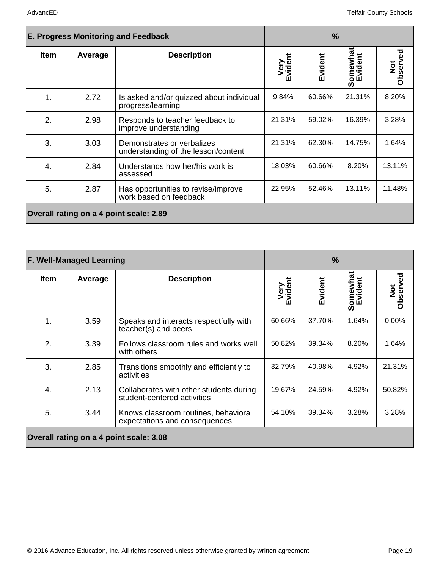| <b>E. Progress Monitoring and Feedback</b> |         | $\frac{9}{6}$                                                     |                      |         |                          |                 |
|--------------------------------------------|---------|-------------------------------------------------------------------|----------------------|---------|--------------------------|-----------------|
| <b>Item</b>                                | Average | <b>Description</b>                                                | Very<br>vident<br>ĤП | Evident | iomewhat<br>Evident<br>ທ | Not<br>Observed |
| 1.                                         | 2.72    | Is asked and/or quizzed about individual<br>progress/learning     | 9.84%                | 60.66%  | 21.31%                   | 8.20%           |
| 2.                                         | 2.98    | Responds to teacher feedback to<br>improve understanding          | 21.31%               | 59.02%  | 16.39%                   | 3.28%           |
| 3.                                         | 3.03    | Demonstrates or verbalizes<br>understanding of the lesson/content | 21.31%               | 62.30%  | 14.75%                   | 1.64%           |
| 4.                                         | 2.84    | Understands how her/his work is<br>assessed                       | 18.03%               | 60.66%  | 8.20%                    | 13.11%          |
| 5.                                         | 2.87    | Has opportunities to revise/improve<br>work based on feedback     | 22.95%               | 52.46%  | 13.11%                   | 11.48%          |
| Overall rating on a 4 point scale: 2.89    |         |                                                                   |                      |         |                          |                 |

|                                         | <b>F. Well-Managed Learning</b> |                                                                        | $\frac{9}{6}$       |         |                     |                 |
|-----------------------------------------|---------------------------------|------------------------------------------------------------------------|---------------------|---------|---------------------|-----------------|
| <b>Item</b>                             | Average                         | <b>Description</b>                                                     | Very<br>vident<br>ш | Evident | Somewhat<br>Evident | Not<br>Observed |
| 1.                                      | 3.59                            | Speaks and interacts respectfully with<br>teacher(s) and peers         | 60.66%              | 37.70%  | 1.64%               | $0.00\%$        |
| 2.                                      | 3.39                            | Follows classroom rules and works well<br>with others                  | 50.82%              | 39.34%  | 8.20%               | 1.64%           |
| 3.                                      | 2.85                            | Transitions smoothly and efficiently to<br>activities                  | 32.79%              | 40.98%  | 4.92%               | 21.31%          |
| 4.                                      | 2.13                            | Collaborates with other students during<br>student-centered activities | 19.67%              | 24.59%  | 4.92%               | 50.82%          |
| 5.                                      | 3.44                            | Knows classroom routines, behavioral<br>expectations and consequences  | 54.10%              | 39.34%  | 3.28%               | 3.28%           |
| Overall rating on a 4 point scale: 3.08 |                                 |                                                                        |                     |         |                     |                 |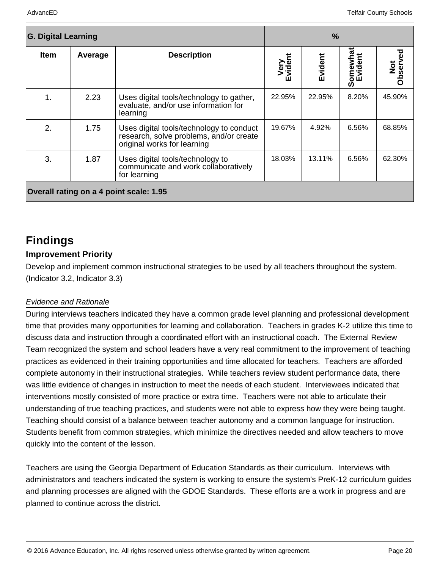| <b>G. Digital Learning</b>              |         |                                                                                                                    | $\frac{9}{6}$       |         |          |                 |
|-----------------------------------------|---------|--------------------------------------------------------------------------------------------------------------------|---------------------|---------|----------|-----------------|
| <b>Item</b>                             | Average | <b>Description</b>                                                                                                 | Very<br>vident<br>Ŵ | Evident | Somewhat | Not<br>Observed |
| 1.                                      | 2.23    | Uses digital tools/technology to gather,<br>evaluate, and/or use information for<br>learning                       | 22.95%              | 22.95%  | 8.20%    | 45.90%          |
| 2.                                      | 1.75    | Uses digital tools/technology to conduct<br>research, solve problems, and/or create<br>original works for learning | 19.67%              | 4.92%   | 6.56%    | 68.85%          |
| 3.                                      | 1.87    | Uses digital tools/technology to<br>communicate and work collaboratively<br>for learning                           | 18.03%              | 13.11%  | 6.56%    | 62.30%          |
| Overall rating on a 4 point scale: 1.95 |         |                                                                                                                    |                     |         |          |                 |

## **Findings**

### **Improvement Priority**

Develop and implement common instructional strategies to be used by all teachers throughout the system. (Indicator 3.2, Indicator 3.3)

#### Evidence and Rationale

During interviews teachers indicated they have a common grade level planning and professional development time that provides many opportunities for learning and collaboration. Teachers in grades K-2 utilize this time to discuss data and instruction through a coordinated effort with an instructional coach. The External Review Team recognized the system and school leaders have a very real commitment to the improvement of teaching practices as evidenced in their training opportunities and time allocated for teachers. Teachers are afforded complete autonomy in their instructional strategies. While teachers review student performance data, there was little evidence of changes in instruction to meet the needs of each student. Interviewees indicated that interventions mostly consisted of more practice or extra time. Teachers were not able to articulate their understanding of true teaching practices, and students were not able to express how they were being taught. Teaching should consist of a balance between teacher autonomy and a common language for instruction. Students benefit from common strategies, which minimize the directives needed and allow teachers to move quickly into the content of the lesson.

Teachers are using the Georgia Department of Education Standards as their curriculum. Interviews with administrators and teachers indicated the system is working to ensure the system's PreK-12 curriculum guides and planning processes are aligned with the GDOE Standards. These efforts are a work in progress and are planned to continue across the district.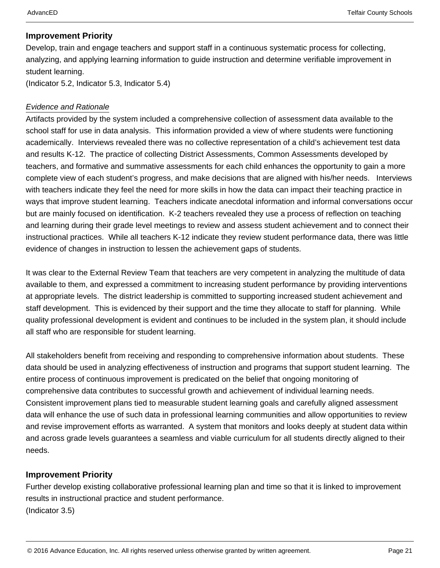#### **Improvement Priority**

Develop, train and engage teachers and support staff in a continuous systematic process for collecting, analyzing, and applying learning information to guide instruction and determine verifiable improvement in student learning.

(Indicator 5.2, Indicator 5.3, Indicator 5.4)

#### Evidence and Rationale

Artifacts provided by the system included a comprehensive collection of assessment data available to the school staff for use in data analysis. This information provided a view of where students were functioning academically. Interviews revealed there was no collective representation of a child's achievement test data and results K-12. The practice of collecting District Assessments, Common Assessments developed by teachers, and formative and summative assessments for each child enhances the opportunity to gain a more complete view of each student's progress, and make decisions that are aligned with his/her needs. Interviews with teachers indicate they feel the need for more skills in how the data can impact their teaching practice in ways that improve student learning. Teachers indicate anecdotal information and informal conversations occur but are mainly focused on identification. K-2 teachers revealed they use a process of reflection on teaching and learning during their grade level meetings to review and assess student achievement and to connect their instructional practices. While all teachers K-12 indicate they review student performance data, there was little evidence of changes in instruction to lessen the achievement gaps of students.

It was clear to the External Review Team that teachers are very competent in analyzing the multitude of data available to them, and expressed a commitment to increasing student performance by providing interventions at appropriate levels. The district leadership is committed to supporting increased student achievement and staff development. This is evidenced by their support and the time they allocate to staff for planning. While quality professional development is evident and continues to be included in the system plan, it should include all staff who are responsible for student learning.

All stakeholders benefit from receiving and responding to comprehensive information about students. These data should be used in analyzing effectiveness of instruction and programs that support student learning. The entire process of continuous improvement is predicated on the belief that ongoing monitoring of comprehensive data contributes to successful growth and achievement of individual learning needs. Consistent improvement plans tied to measurable student learning goals and carefully aligned assessment data will enhance the use of such data in professional learning communities and allow opportunities to review and revise improvement efforts as warranted. A system that monitors and looks deeply at student data within and across grade levels guarantees a seamless and viable curriculum for all students directly aligned to their needs.

#### **Improvement Priority**

Further develop existing collaborative professional learning plan and time so that it is linked to improvement results in instructional practice and student performance. (Indicator 3.5)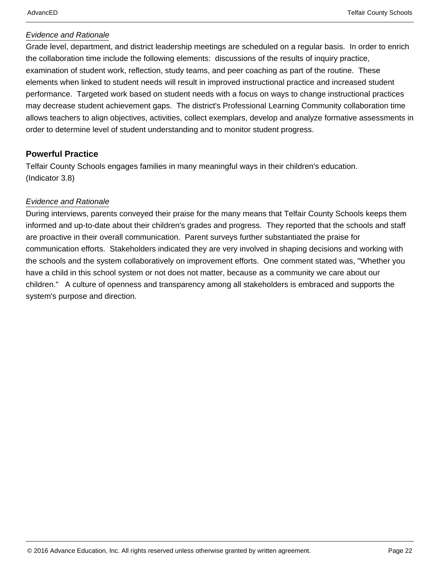#### Evidence and Rationale

Grade level, department, and district leadership meetings are scheduled on a regular basis. In order to enrich the collaboration time include the following elements: discussions of the results of inquiry practice, examination of student work, reflection, study teams, and peer coaching as part of the routine. These elements when linked to student needs will result in improved instructional practice and increased student performance. Targeted work based on student needs with a focus on ways to change instructional practices may decrease student achievement gaps. The district's Professional Learning Community collaboration time allows teachers to align objectives, activities, collect exemplars, develop and analyze formative assessments in order to determine level of student understanding and to monitor student progress.

#### **Powerful Practice**

Telfair County Schools engages families in many meaningful ways in their children's education. (Indicator 3.8)

#### Evidence and Rationale

During interviews, parents conveyed their praise for the many means that Telfair County Schools keeps them informed and up-to-date about their children's grades and progress. They reported that the schools and staff are proactive in their overall communication. Parent surveys further substantiated the praise for communication efforts. Stakeholders indicated they are very involved in shaping decisions and working with the schools and the system collaboratively on improvement efforts. One comment stated was, "Whether you have a child in this school system or not does not matter, because as a community we care about our children." A culture of openness and transparency among all stakeholders is embraced and supports the system's purpose and direction.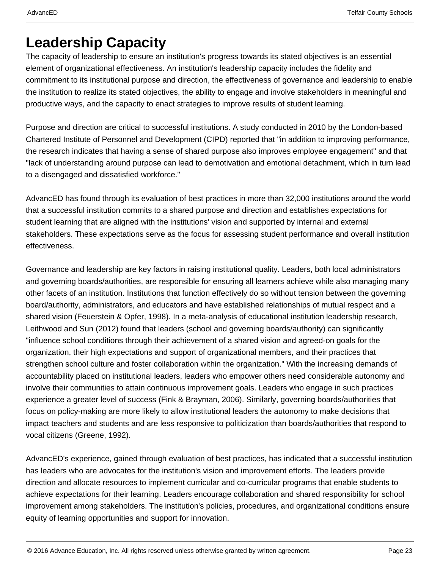## **Leadership Capacity**

The capacity of leadership to ensure an institution's progress towards its stated objectives is an essential element of organizational effectiveness. An institution's leadership capacity includes the fidelity and commitment to its institutional purpose and direction, the effectiveness of governance and leadership to enable the institution to realize its stated objectives, the ability to engage and involve stakeholders in meaningful and productive ways, and the capacity to enact strategies to improve results of student learning.

Purpose and direction are critical to successful institutions. A study conducted in 2010 by the London-based Chartered Institute of Personnel and Development (CIPD) reported that "in addition to improving performance, the research indicates that having a sense of shared purpose also improves employee engagement" and that "lack of understanding around purpose can lead to demotivation and emotional detachment, which in turn lead to a disengaged and dissatisfied workforce."

AdvancED has found through its evaluation of best practices in more than 32,000 institutions around the world that a successful institution commits to a shared purpose and direction and establishes expectations for student learning that are aligned with the institutions' vision and supported by internal and external stakeholders. These expectations serve as the focus for assessing student performance and overall institution effectiveness.

Governance and leadership are key factors in raising institutional quality. Leaders, both local administrators and governing boards/authorities, are responsible for ensuring all learners achieve while also managing many other facets of an institution. Institutions that function effectively do so without tension between the governing board/authority, administrators, and educators and have established relationships of mutual respect and a shared vision (Feuerstein & Opfer, 1998). In a meta-analysis of educational institution leadership research, Leithwood and Sun (2012) found that leaders (school and governing boards/authority) can significantly "influence school conditions through their achievement of a shared vision and agreed-on goals for the organization, their high expectations and support of organizational members, and their practices that strengthen school culture and foster collaboration within the organization." With the increasing demands of accountability placed on institutional leaders, leaders who empower others need considerable autonomy and involve their communities to attain continuous improvement goals. Leaders who engage in such practices experience a greater level of success (Fink & Brayman, 2006). Similarly, governing boards/authorities that focus on policy-making are more likely to allow institutional leaders the autonomy to make decisions that impact teachers and students and are less responsive to politicization than boards/authorities that respond to vocal citizens (Greene, 1992).

AdvancED's experience, gained through evaluation of best practices, has indicated that a successful institution has leaders who are advocates for the institution's vision and improvement efforts. The leaders provide direction and allocate resources to implement curricular and co-curricular programs that enable students to achieve expectations for their learning. Leaders encourage collaboration and shared responsibility for school improvement among stakeholders. The institution's policies, procedures, and organizational conditions ensure equity of learning opportunities and support for innovation.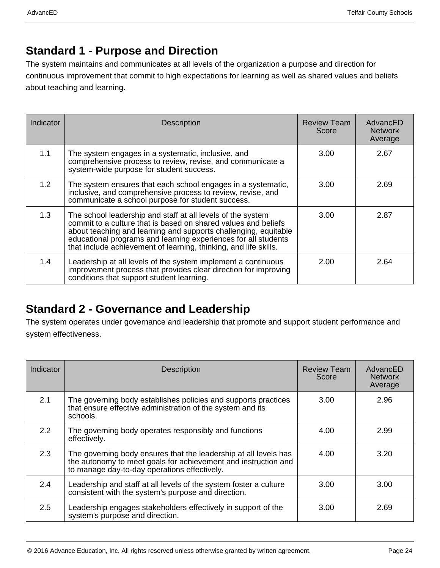### **Standard 1 - Purpose and Direction**

The system maintains and communicates at all levels of the organization a purpose and direction for continuous improvement that commit to high expectations for learning as well as shared values and beliefs about teaching and learning.

| Indicator | <b>Description</b>                                                                                                                                                                                                                                                                                                                     | <b>Review Team</b><br>Score | AdvancED<br><b>Network</b><br>Average |
|-----------|----------------------------------------------------------------------------------------------------------------------------------------------------------------------------------------------------------------------------------------------------------------------------------------------------------------------------------------|-----------------------------|---------------------------------------|
| 1.1       | The system engages in a systematic, inclusive, and<br>comprehensive process to review, revise, and communicate a<br>system-wide purpose for student success.                                                                                                                                                                           | 3.00                        | 2.67                                  |
| 1.2       | The system ensures that each school engages in a systematic,<br>inclusive, and comprehensive process to review, revise, and<br>communicate a school purpose for student success.                                                                                                                                                       | 3.00                        | 2.69                                  |
| 1.3       | The school leadership and staff at all levels of the system<br>commit to a culture that is based on shared values and beliefs<br>about teaching and learning and supports challenging, equitable<br>educational programs and learning experiences for all students<br>that include achievement of learning, thinking, and life skills. | 3.00                        | 2.87                                  |
| 1.4       | Leadership at all levels of the system implement a continuous<br>improvement process that provides clear direction for improving<br>conditions that support student learning.                                                                                                                                                          | 2.00                        | 2.64                                  |

### **Standard 2 - Governance and Leadership**

The system operates under governance and leadership that promote and support student performance and system effectiveness.

| Indicator     | <b>Description</b>                                                                                                                                                                 | <b>Review Team</b><br>Score | AdvancED<br><b>Network</b><br>Average |
|---------------|------------------------------------------------------------------------------------------------------------------------------------------------------------------------------------|-----------------------------|---------------------------------------|
| 2.1           | The governing body establishes policies and supports practices<br>that ensure effective administration of the system and its<br>schools.                                           | 3.00                        | 2.96                                  |
| $2.2^{\circ}$ | The governing body operates responsibly and functions<br>effectively.                                                                                                              | 4.00                        | 2.99                                  |
| 2.3           | The governing body ensures that the leadership at all levels has<br>the autonomy to meet goals for achievement and instruction and<br>to manage day-to-day operations effectively. | 4.00                        | 3.20                                  |
| 2.4           | Leadership and staff at all levels of the system foster a culture<br>consistent with the system's purpose and direction.                                                           | 3.00                        | 3.00                                  |
| 2.5           | Leadership engages stakeholders effectively in support of the<br>system's purpose and direction.                                                                                   | 3.00                        | 2.69                                  |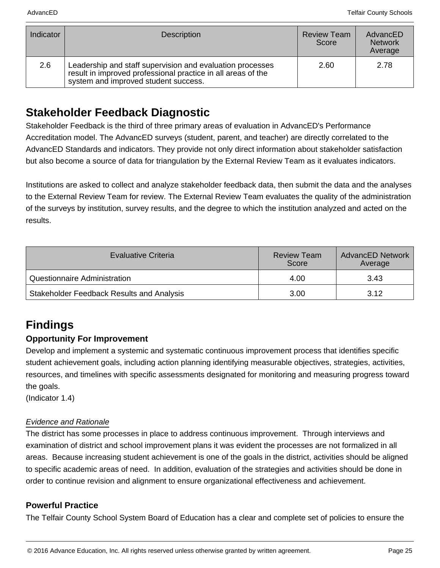| Indicator | <b>Description</b>                                                                                                                                                | <b>Review Team</b><br>Score | AdvancED<br><b>Network</b><br>Average |
|-----------|-------------------------------------------------------------------------------------------------------------------------------------------------------------------|-----------------------------|---------------------------------------|
| 2.6       | Leadership and staff supervision and evaluation processes<br>result in improved professional practice in all areas of the<br>system and improved student success. | 2.60                        | 2.78                                  |

### **Stakeholder Feedback Diagnostic**

Stakeholder Feedback is the third of three primary areas of evaluation in AdvancED's Performance Accreditation model. The AdvancED surveys (student, parent, and teacher) are directly correlated to the AdvancED Standards and indicators. They provide not only direct information about stakeholder satisfaction but also become a source of data for triangulation by the External Review Team as it evaluates indicators.

Institutions are asked to collect and analyze stakeholder feedback data, then submit the data and the analyses to the External Review Team for review. The External Review Team evaluates the quality of the administration of the surveys by institution, survey results, and the degree to which the institution analyzed and acted on the results.

| Evaluative Criteria                              | <b>Review Team</b><br>Score | <b>AdvancED Network</b><br>Average |
|--------------------------------------------------|-----------------------------|------------------------------------|
| Questionnaire Administration                     | 4.00                        | 3.43                               |
| <b>Stakeholder Feedback Results and Analysis</b> | 3.00                        | 3.12                               |

### **Findings**

### **Opportunity For Improvement**

Develop and implement a systemic and systematic continuous improvement process that identifies specific student achievement goals, including action planning identifying measurable objectives, strategies, activities, resources, and timelines with specific assessments designated for monitoring and measuring progress toward the goals.

(Indicator 1.4)

#### Evidence and Rationale

The district has some processes in place to address continuous improvement. Through interviews and examination of district and school improvement plans it was evident the processes are not formalized in all areas. Because increasing student achievement is one of the goals in the district, activities should be aligned to specific academic areas of need. In addition, evaluation of the strategies and activities should be done in order to continue revision and alignment to ensure organizational effectiveness and achievement.

#### **Powerful Practice**

The Telfair County School System Board of Education has a clear and complete set of policies to ensure the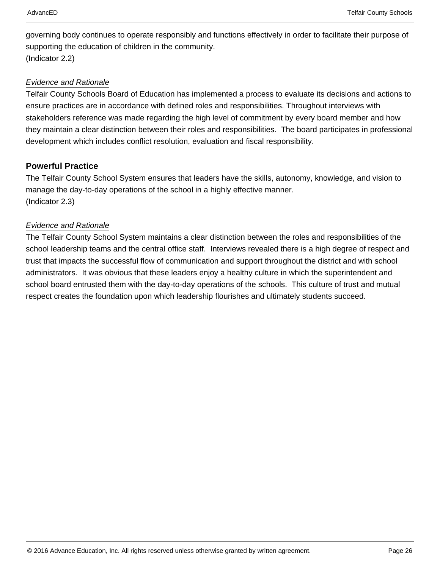governing body continues to operate responsibly and functions effectively in order to facilitate their purpose of supporting the education of children in the community. (Indicator 2.2)

#### Evidence and Rationale

Telfair County Schools Board of Education has implemented a process to evaluate its decisions and actions to ensure practices are in accordance with defined roles and responsibilities. Throughout interviews with stakeholders reference was made regarding the high level of commitment by every board member and how they maintain a clear distinction between their roles and responsibilities. The board participates in professional development which includes conflict resolution, evaluation and fiscal responsibility.

#### **Powerful Practice**

The Telfair County School System ensures that leaders have the skills, autonomy, knowledge, and vision to manage the day-to-day operations of the school in a highly effective manner. (Indicator 2.3)

#### Evidence and Rationale

The Telfair County School System maintains a clear distinction between the roles and responsibilities of the school leadership teams and the central office staff. Interviews revealed there is a high degree of respect and trust that impacts the successful flow of communication and support throughout the district and with school administrators. It was obvious that these leaders enjoy a healthy culture in which the superintendent and school board entrusted them with the day-to-day operations of the schools. This culture of trust and mutual respect creates the foundation upon which leadership flourishes and ultimately students succeed.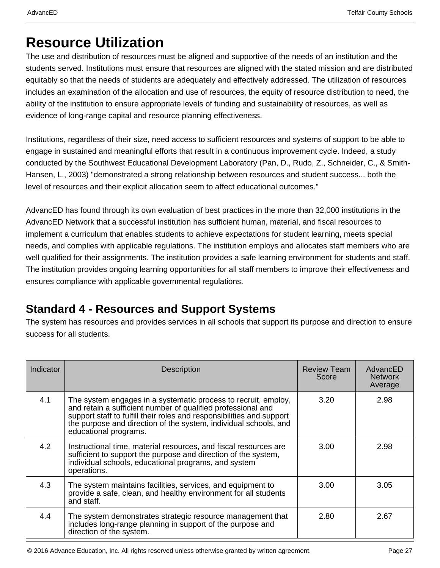## **Resource Utilization**

The use and distribution of resources must be aligned and supportive of the needs of an institution and the students served. Institutions must ensure that resources are aligned with the stated mission and are distributed equitably so that the needs of students are adequately and effectively addressed. The utilization of resources includes an examination of the allocation and use of resources, the equity of resource distribution to need, the ability of the institution to ensure appropriate levels of funding and sustainability of resources, as well as evidence of long-range capital and resource planning effectiveness.

Institutions, regardless of their size, need access to sufficient resources and systems of support to be able to engage in sustained and meaningful efforts that result in a continuous improvement cycle. Indeed, a study conducted by the Southwest Educational Development Laboratory (Pan, D., Rudo, Z., Schneider, C., & Smith-Hansen, L., 2003) "demonstrated a strong relationship between resources and student success... both the level of resources and their explicit allocation seem to affect educational outcomes."

AdvancED has found through its own evaluation of best practices in the more than 32,000 institutions in the AdvancED Network that a successful institution has sufficient human, material, and fiscal resources to implement a curriculum that enables students to achieve expectations for student learning, meets special needs, and complies with applicable regulations. The institution employs and allocates staff members who are well qualified for their assignments. The institution provides a safe learning environment for students and staff. The institution provides ongoing learning opportunities for all staff members to improve their effectiveness and ensures compliance with applicable governmental regulations.

### **Standard 4 - Resources and Support Systems**

The system has resources and provides services in all schools that support its purpose and direction to ensure success for all students.

| Indicator | <b>Description</b>                                                                                                                                                                                                                                                                                   | <b>Review Team</b><br>Score | AdvancED<br><b>Network</b><br>Average |
|-----------|------------------------------------------------------------------------------------------------------------------------------------------------------------------------------------------------------------------------------------------------------------------------------------------------------|-----------------------------|---------------------------------------|
| 4.1       | The system engages in a systematic process to recruit, employ,<br>and retain a sufficient number of qualified professional and<br>support staff to fulfill their roles and responsibilities and support<br>the purpose and direction of the system, individual schools, and<br>educational programs. | 3.20                        | 2.98                                  |
| 4.2       | Instructional time, material resources, and fiscal resources are<br>sufficient to support the purpose and direction of the system,<br>individual schools, educational programs, and system<br>operations.                                                                                            | 3.00                        | 2.98                                  |
| 4.3       | The system maintains facilities, services, and equipment to<br>provide a safe, clean, and healthy environment for all students<br>and staff.                                                                                                                                                         | 3.00                        | 3.05                                  |
| 4.4       | The system demonstrates strategic resource management that<br>includes long-range planning in support of the purpose and<br>direction of the system.                                                                                                                                                 | 2.80                        | 2.67                                  |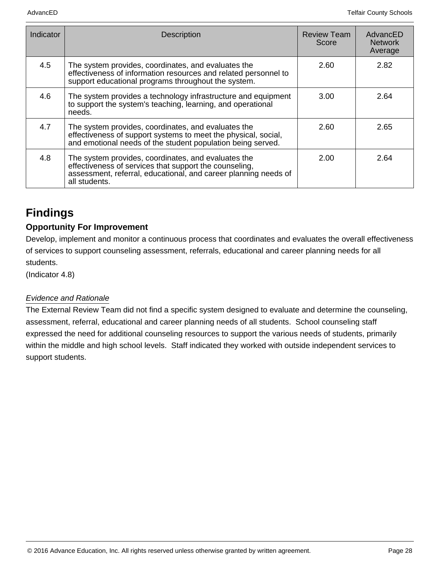| Indicator | <b>Description</b>                                                                                                                                                                                | <b>Review Team</b><br>Score | AdvancED<br><b>Network</b><br>Average |
|-----------|---------------------------------------------------------------------------------------------------------------------------------------------------------------------------------------------------|-----------------------------|---------------------------------------|
| 4.5       | The system provides, coordinates, and evaluates the<br>effectiveness of information resources and related personnel to<br>support educational programs throughout the system.                     | 2.60                        | 2.82                                  |
| 4.6       | The system provides a technology infrastructure and equipment<br>to support the system's teaching, learning, and operational<br>needs.                                                            | 3.00                        | 2.64                                  |
| 4.7       | The system provides, coordinates, and evaluates the<br>effectiveness of support systems to meet the physical, social,<br>and emotional needs of the student population being served.              | 2.60                        | 2.65                                  |
| 4.8       | The system provides, coordinates, and evaluates the<br>effectiveness of services that support the counseling,<br>assessment, referral, educational, and career planning needs of<br>all students. | 2.00                        | 2.64                                  |

## **Findings**

### **Opportunity For Improvement**

Develop, implement and monitor a continuous process that coordinates and evaluates the overall effectiveness of services to support counseling assessment, referrals, educational and career planning needs for all students.

(Indicator 4.8)

#### Evidence and Rationale

The External Review Team did not find a specific system designed to evaluate and determine the counseling, assessment, referral, educational and career planning needs of all students. School counseling staff expressed the need for additional counseling resources to support the various needs of students, primarily within the middle and high school levels. Staff indicated they worked with outside independent services to support students.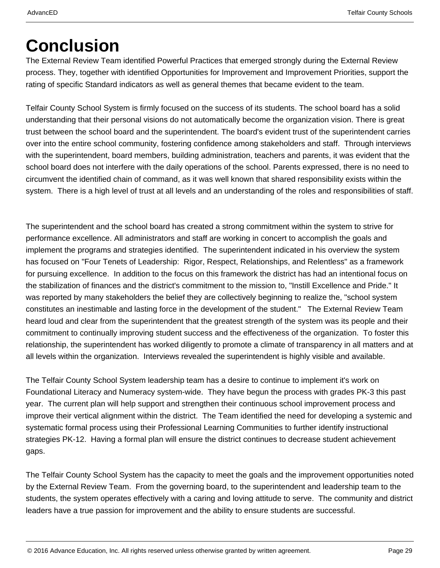# **Conclusion**

The External Review Team identified Powerful Practices that emerged strongly during the External Review process. They, together with identified Opportunities for Improvement and Improvement Priorities, support the rating of specific Standard indicators as well as general themes that became evident to the team.

Telfair County School System is firmly focused on the success of its students. The school board has a solid understanding that their personal visions do not automatically become the organization vision. There is great trust between the school board and the superintendent. The board's evident trust of the superintendent carries over into the entire school community, fostering confidence among stakeholders and staff. Through interviews with the superintendent, board members, building administration, teachers and parents, it was evident that the school board does not interfere with the daily operations of the school. Parents expressed, there is no need to circumvent the identified chain of command, as it was well known that shared responsibility exists within the system. There is a high level of trust at all levels and an understanding of the roles and responsibilities of staff.

The superintendent and the school board has created a strong commitment within the system to strive for performance excellence. All administrators and staff are working in concert to accomplish the goals and implement the programs and strategies identified. The superintendent indicated in his overview the system has focused on "Four Tenets of Leadership: Rigor, Respect, Relationships, and Relentless" as a framework for pursuing excellence. In addition to the focus on this framework the district has had an intentional focus on the stabilization of finances and the district's commitment to the mission to, "Instill Excellence and Pride." It was reported by many stakeholders the belief they are collectively beginning to realize the, "school system constitutes an inestimable and lasting force in the development of the student." The External Review Team heard loud and clear from the superintendent that the greatest strength of the system was its people and their commitment to continually improving student success and the effectiveness of the organization. To foster this relationship, the superintendent has worked diligently to promote a climate of transparency in all matters and at all levels within the organization. Interviews revealed the superintendent is highly visible and available.

The Telfair County School System leadership team has a desire to continue to implement it's work on Foundational Literacy and Numeracy system-wide. They have begun the process with grades PK-3 this past year. The current plan will help support and strengthen their continuous school improvement process and improve their vertical alignment within the district. The Team identified the need for developing a systemic and systematic formal process using their Professional Learning Communities to further identify instructional strategies PK-12. Having a formal plan will ensure the district continues to decrease student achievement gaps.

The Telfair County School System has the capacity to meet the goals and the improvement opportunities noted by the External Review Team. From the governing board, to the superintendent and leadership team to the students, the system operates effectively with a caring and loving attitude to serve. The community and district leaders have a true passion for improvement and the ability to ensure students are successful.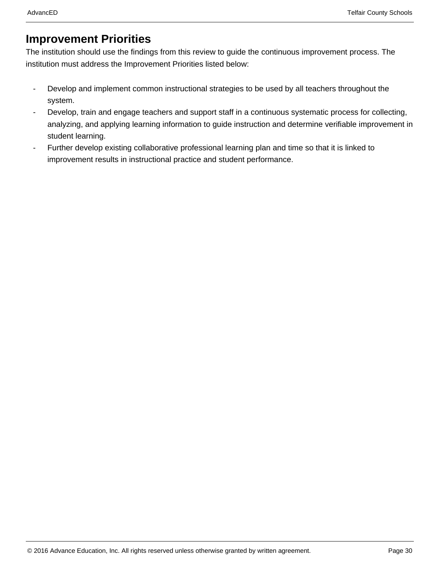### **Improvement Priorities**

The institution should use the findings from this review to guide the continuous improvement process. The institution must address the Improvement Priorities listed below:

- Develop and implement common instructional strategies to be used by all teachers throughout the system.
- Develop, train and engage teachers and support staff in a continuous systematic process for collecting, analyzing, and applying learning information to guide instruction and determine verifiable improvement in student learning.
- Further develop existing collaborative professional learning plan and time so that it is linked to improvement results in instructional practice and student performance.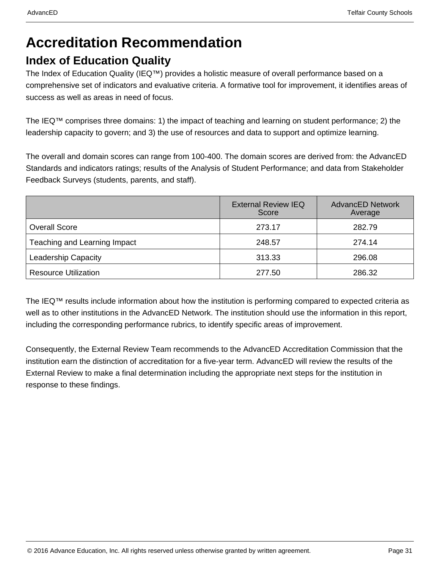## **Accreditation Recommendation**

### **Index of Education Quality**

The Index of Education Quality (IEQ™) provides a holistic measure of overall performance based on a comprehensive set of indicators and evaluative criteria. A formative tool for improvement, it identifies areas of success as well as areas in need of focus.

The IEQ™ comprises three domains: 1) the impact of teaching and learning on student performance; 2) the leadership capacity to govern; and 3) the use of resources and data to support and optimize learning.

The overall and domain scores can range from 100-400. The domain scores are derived from: the AdvancED Standards and indicators ratings; results of the Analysis of Student Performance; and data from Stakeholder Feedback Surveys (students, parents, and staff).

|                              | <b>External Review IEQ</b><br>Score | <b>AdvancED Network</b><br>Average |
|------------------------------|-------------------------------------|------------------------------------|
| <b>Overall Score</b>         | 273.17                              | 282.79                             |
| Teaching and Learning Impact | 248.57                              | 274.14                             |
| <b>Leadership Capacity</b>   | 313.33                              | 296.08                             |
| <b>Resource Utilization</b>  | 277.50                              | 286.32                             |

The IEQ™ results include information about how the institution is performing compared to expected criteria as well as to other institutions in the AdvancED Network. The institution should use the information in this report, including the corresponding performance rubrics, to identify specific areas of improvement.

Consequently, the External Review Team recommends to the AdvancED Accreditation Commission that the institution earn the distinction of accreditation for a five-year term. AdvancED will review the results of the External Review to make a final determination including the appropriate next steps for the institution in response to these findings.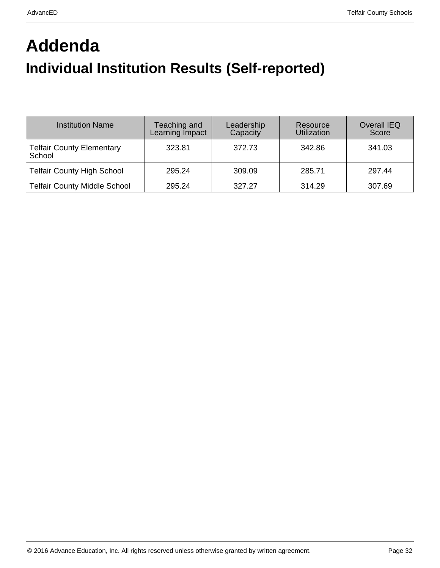# **Addenda Individual Institution Results (Self-reported)**

| <b>Institution Name</b>                    | Teaching and<br>Learning Impact | Leadership<br>Capacity | Resource<br>Utilization | <b>Overall IEQ</b><br>Score |
|--------------------------------------------|---------------------------------|------------------------|-------------------------|-----------------------------|
| <b>Telfair County Elementary</b><br>School | 323.81                          | 372.73                 | 342.86                  | 341.03                      |
| <b>Telfair County High School</b>          | 295.24                          | 309.09                 | 285.71                  | 297.44                      |
| <b>Telfair County Middle School</b>        | 295.24                          | 327.27                 | 314.29                  | 307.69                      |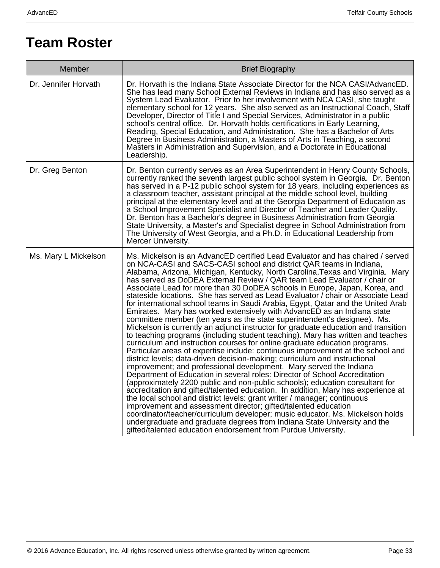## **Team Roster**

| Member               | <b>Brief Biography</b>                                                                                                                                                                                                                                                                                                                                                                                                                                                                                                                                                                                                                                                                                                                                                                                                                                                                                                                                                                                                                                                                                                                                                                                                                                                                                                                                                                                                                                                                                                                                                                                                                                                                                                                                                                                                                                      |
|----------------------|-------------------------------------------------------------------------------------------------------------------------------------------------------------------------------------------------------------------------------------------------------------------------------------------------------------------------------------------------------------------------------------------------------------------------------------------------------------------------------------------------------------------------------------------------------------------------------------------------------------------------------------------------------------------------------------------------------------------------------------------------------------------------------------------------------------------------------------------------------------------------------------------------------------------------------------------------------------------------------------------------------------------------------------------------------------------------------------------------------------------------------------------------------------------------------------------------------------------------------------------------------------------------------------------------------------------------------------------------------------------------------------------------------------------------------------------------------------------------------------------------------------------------------------------------------------------------------------------------------------------------------------------------------------------------------------------------------------------------------------------------------------------------------------------------------------------------------------------------------------|
| Dr. Jennifer Horvath | Dr. Horvath is the Indiana State Associate Director for the NCA CASI/AdvancED.<br>She has lead many School External Reviews in Indiana and has also served as a<br>System Lead Evaluator. Prior to her involvement with NCA CASI, she taught<br>elementary school for 12 years. She also served as an Instructional Coach, Staff<br>Developer, Director of Title I and Special Services, Administrator in a public<br>school's central office. Dr. Horvath holds certifications in Early Learning,<br>Reading, Special Education, and Administration. She has a Bachelor of Arts<br>Degree in Business Administration, a Masters of Arts in Teaching, a second<br>Masters in Administration and Supervision, and a Doctorate in Educational<br>Leadership.                                                                                                                                                                                                                                                                                                                                                                                                                                                                                                                                                                                                                                                                                                                                                                                                                                                                                                                                                                                                                                                                                                  |
| Dr. Greg Benton      | Dr. Benton currently serves as an Area Superintendent in Henry County Schools,<br>currently ranked the seventh largest public school system in Georgia. Dr. Benton<br>has served in a P-12 public school system for 18 years, including experiences as<br>a classroom teacher, assistant principal at the middle school level, building<br>principal at the elementary level and at the Georgia Department of Education as<br>a School Improvement Specialist and Director of Teacher and Leader Quality.<br>Dr. Benton has a Bachelor's degree in Business Administration from Georgia<br>State University, a Master's and Specialist degree in School Administration from<br>The University of West Georgia, and a Ph.D. in Educational Leadership from<br>Mercer University.                                                                                                                                                                                                                                                                                                                                                                                                                                                                                                                                                                                                                                                                                                                                                                                                                                                                                                                                                                                                                                                                             |
| Ms. Mary L Mickelson | Ms. Mickelson is an AdvancED certified Lead Evaluator and has chaired / served<br>on NCA-CASI and SACS-CASI school and district QAR teams in Indiana,<br>Alabama, Arizona, Michigan, Kentucky, North Carolina, Texas and Virginia. Mary<br>has served as DoDEA External Review / QAR team Lead Evaluator / chair or<br>Associate Lead for more than 30 DoDEA schools in Europe, Japan, Korea, and<br>stateside locations. She has served as Lead Evaluator / chair or Associate Lead<br>for international school teams in Saudi Arabia, Egypt, Qatar and the United Arab<br>Emirates. Mary has worked extensively with AdvancED as an Indiana state<br>committee member (ten years as the state superintendent's designee). Ms.<br>Mickelson is currently an adjunct instructor for graduate education and transition<br>to teaching programs (including student teaching). Mary has written and teaches<br>curriculum and instruction courses for online graduate education programs.<br>Particular areas of expertise include: continuous improvement at the school and<br>district levels; data-driven decision-making; curriculum and instructional<br>improvement; and professional development. Mary served the Indiana<br>Department of Education in several roles: Director of School Accreditation<br>(approximately 2200 public and non-public schools); education consultant for<br>accreditation and gifted/talented education. In addition, Mary has experience at<br>the local school and district levels: grant writer / manager; continuous<br>improvement and assessment director; gifted/talented education<br>coordinator/teacher/curriculum developer; music educator. Ms. Mickelson holds<br>undergraduate and graduate degrees from Indiana State University and the<br>gifted/talented education endorsement from Purdue University. |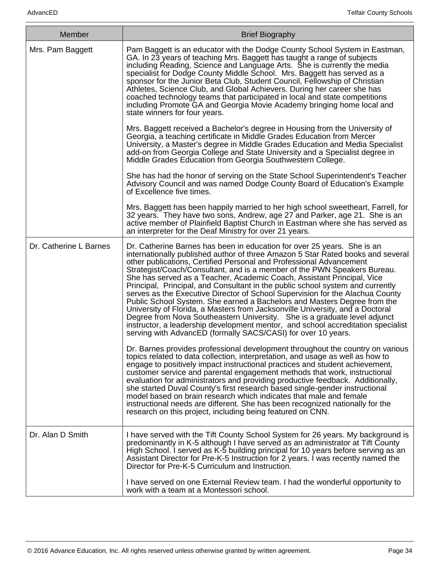| <b>Member</b>          | <b>Brief Biography</b>                                                                                                                                                                                                                                                                                                                                                                                                                                                                                                                                                                                                                                                                                                                                                                                                                                                                                                                                    |
|------------------------|-----------------------------------------------------------------------------------------------------------------------------------------------------------------------------------------------------------------------------------------------------------------------------------------------------------------------------------------------------------------------------------------------------------------------------------------------------------------------------------------------------------------------------------------------------------------------------------------------------------------------------------------------------------------------------------------------------------------------------------------------------------------------------------------------------------------------------------------------------------------------------------------------------------------------------------------------------------|
| Mrs. Pam Baggett       | Pam Baggett is an educator with the Dodge County School System in Eastman,<br>GA. In 23 years of teaching Mrs. Baggett has taught a range of subjects<br>including Reading, Science and Language Arts. She is currently the media<br>specialist for Dodge County Middle School. Mrs. Baggett has served as a<br>sponsor for the Junior Beta Club, Student Council, Fellowship of Christian<br>Athletes, Science Club, and Global Achievers. During her career she has<br>coached technology teams that participated in local and state competitions<br>including Promote GA and Georgia Movie Academy bringing home local and<br>state winners for four years.                                                                                                                                                                                                                                                                                            |
|                        | Mrs. Baggett received a Bachelor's degree in Housing from the University of<br>Georgia, a teaching certificate in Middle Grades Education from Mercer<br>University, a Master's degree in Middle Grades Education and Media Specialist<br>add-on from Georgia College and State University and a Specialist degree in<br>Middle Grades Education from Georgia Southwestern College.                                                                                                                                                                                                                                                                                                                                                                                                                                                                                                                                                                       |
|                        | She has had the honor of serving on the State School Superintendent's Teacher<br>Advisory Council and was named Dodge County Board of Education's Example<br>of Excellence five times.                                                                                                                                                                                                                                                                                                                                                                                                                                                                                                                                                                                                                                                                                                                                                                    |
|                        | Mrs. Baggett has been happily married to her high school sweetheart, Farrell, for<br>32 years. They have two sons, Andrew, age 27 and Parker, age 21. She is an<br>active member of Plainfield Baptist Church in Eastman where she has served as<br>an interpreter for the Deaf Ministry for over 21 years.                                                                                                                                                                                                                                                                                                                                                                                                                                                                                                                                                                                                                                               |
| Dr. Catherine L Barnes | Dr. Catherine Barnes has been in education for over 25 years. She is an<br>internationally published author of three Amazon 5 Star Rated books and several<br>other publications, Certified Personal and Professional Advancement<br>Strategist/Coach/Consultant, and is a member of the PWN Speakers Bureau.<br>She has served as a Teacher, Academic Coach, Assistant Principal, Vice<br>Principal, Principal, and Consultant in the public school system and currently<br>serves as the Executive Director of School Supervision for the Alachua County<br>Public School System. She earned a Bachelors and Masters Degree from the<br>University of Florida, a Masters from Jacksonville University, and a Doctoral<br>Degree from Nova Southeastern University. She is a graduate level adjunct<br>instructor, a leadership development mentor, and school accreditation specialist<br>serving with AdvancED (formally SACS/CASI) for over 10 years. |
|                        | Dr. Barnes provides professional development throughout the country on various<br>topics related to data collection, interpretation, and usage as well as how to<br>engage to positively impact instructional practices and student achievement,<br>customer service and parental engagement methods that work, instructional<br>evaluation for administrators and providing productive feedback. Additionally,<br>she started Duval County's first research based single-gender instructional<br>model based on brain research which indicates that male and female<br>instructional needs are different. She has been recognized nationally for the<br>research on this project, including being featured on CNN.                                                                                                                                                                                                                                       |
| Dr. Alan D Smith       | I have served with the Tift County School System for 26 years. My background is<br>predominantly in K-5 although I have served as an administrator at Tift County<br>High School. I served as K-5 building principal for 10 years before serving as an<br>Assistant Director for Pre-K-5 Instruction for 2 years. I was recently named the<br>Director for Pre-K-5 Curriculum and Instruction.                                                                                                                                                                                                                                                                                                                                                                                                                                                                                                                                                            |
|                        | I have served on one External Review team. I had the wonderful opportunity to<br>work with a team at a Montessori school.                                                                                                                                                                                                                                                                                                                                                                                                                                                                                                                                                                                                                                                                                                                                                                                                                                 |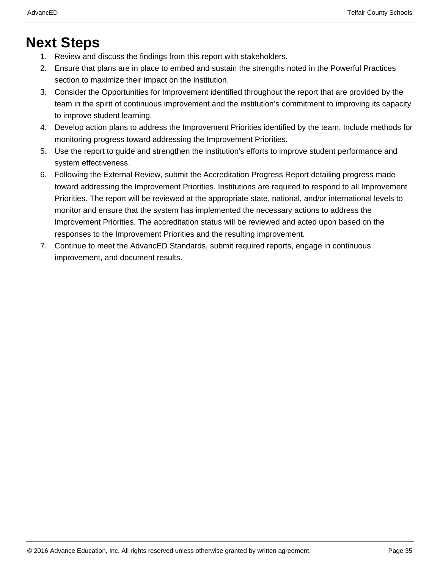## **Next Steps**

- 1. Review and discuss the findings from this report with stakeholders.
- 2. Ensure that plans are in place to embed and sustain the strengths noted in the Powerful Practices section to maximize their impact on the institution.
- 3. Consider the Opportunities for Improvement identified throughout the report that are provided by the team in the spirit of continuous improvement and the institution's commitment to improving its capacity to improve student learning.
- 4. Develop action plans to address the Improvement Priorities identified by the team. Include methods for monitoring progress toward addressing the Improvement Priorities.
- 5. Use the report to guide and strengthen the institution's efforts to improve student performance and system effectiveness.
- 6. Following the External Review, submit the Accreditation Progress Report detailing progress made toward addressing the Improvement Priorities. Institutions are required to respond to all Improvement Priorities. The report will be reviewed at the appropriate state, national, and/or international levels to monitor and ensure that the system has implemented the necessary actions to address the Improvement Priorities. The accreditation status will be reviewed and acted upon based on the responses to the Improvement Priorities and the resulting improvement.
- 7. Continue to meet the AdvancED Standards, submit required reports, engage in continuous improvement, and document results.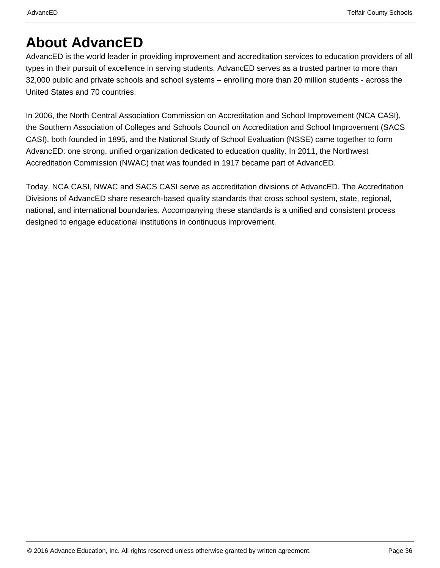## **About AdvancED**

AdvancED is the world leader in providing improvement and accreditation services to education providers of all types in their pursuit of excellence in serving students. AdvancED serves as a trusted partner to more than 32,000 public and private schools and school systems – enrolling more than 20 million students - across the United States and 70 countries.

In 2006, the North Central Association Commission on Accreditation and School Improvement (NCA CASI), the Southern Association of Colleges and Schools Council on Accreditation and School Improvement (SACS CASI), both founded in 1895, and the National Study of School Evaluation (NSSE) came together to form AdvancED: one strong, unified organization dedicated to education quality. In 2011, the Northwest Accreditation Commission (NWAC) that was founded in 1917 became part of AdvancED.

Today, NCA CASI, NWAC and SACS CASI serve as accreditation divisions of AdvancED. The Accreditation Divisions of AdvancED share research-based quality standards that cross school system, state, regional, national, and international boundaries. Accompanying these standards is a unified and consistent process designed to engage educational institutions in continuous improvement.